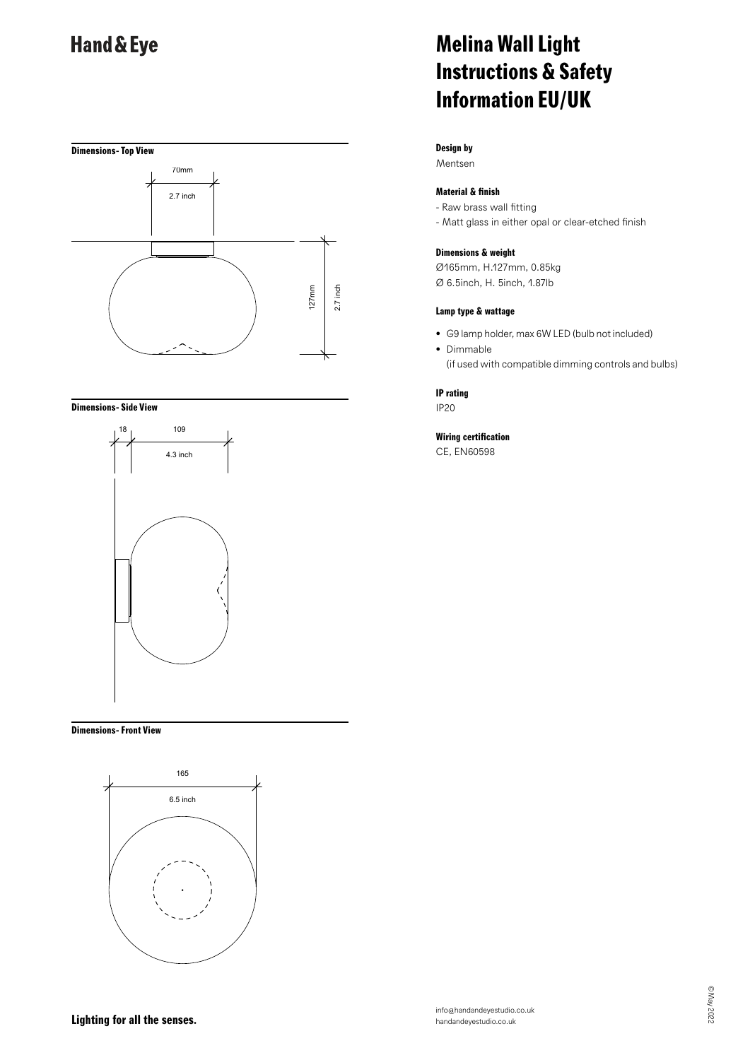

#### **Dimensions- Side View**



#### **Dimensions- Front View**



# **Melina Wall Light Instructions & Safety Information EU/UK**

### **Design by**

Mentsen

### **Material & finish**

- Raw brass wall fitting
- Matt glass in either opal or clear-etched finish

#### **Dimensions & weight**

Ø165mm, H.127mm, 0.85kg Ø 6.5inch, H. 5inch, 1.87lb

#### **Lamp type & wattage**

- G9 lamp holder, max 6W LED (bulb not included)
- Dimmable (if used with compatible dimming controls and bulbs)

#### **IP rating**

IP20

### **Wiring certification**

CE, EN60598

## **Lighting for all the senses.**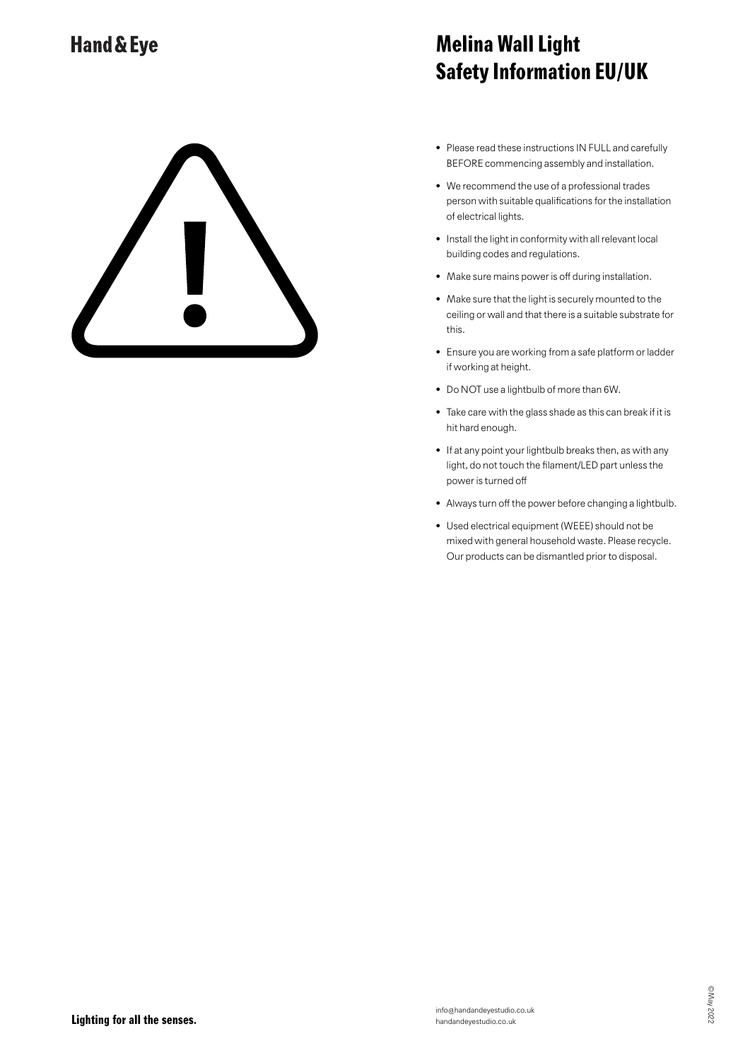# **Melina Wall Light Safety Information EU/UK**

- Please read these instructions IN FULL and carefully BEFORE commencing assembly and installation.
- We recommend the use of a professional trades person with suitable qualifications for the installation of electrical lights.
- Install the light in conformity with all relevant local building codes and regulations.
- Make sure mains power is off during installation.
- Make sure that the light is securely mounted to the ceiling or wall and that there is a suitable substrate for this.
- Ensure you are working from a safe platform or ladder if working at height.
- Do NOT use a lightbulb of more than 6W.
- Take care with the glass shade as this can break if it is hit hard enough.
- If at any point your lightbulb breaks then, as with any light, do not touch the filament/LED part unless the power is turned off
- Always turn off the power before changing a lightbulb.
- Used electrical equipment (WEEE) should not be mixed with general household waste. Please recycle. Our products can be dismantled prior to disposal.

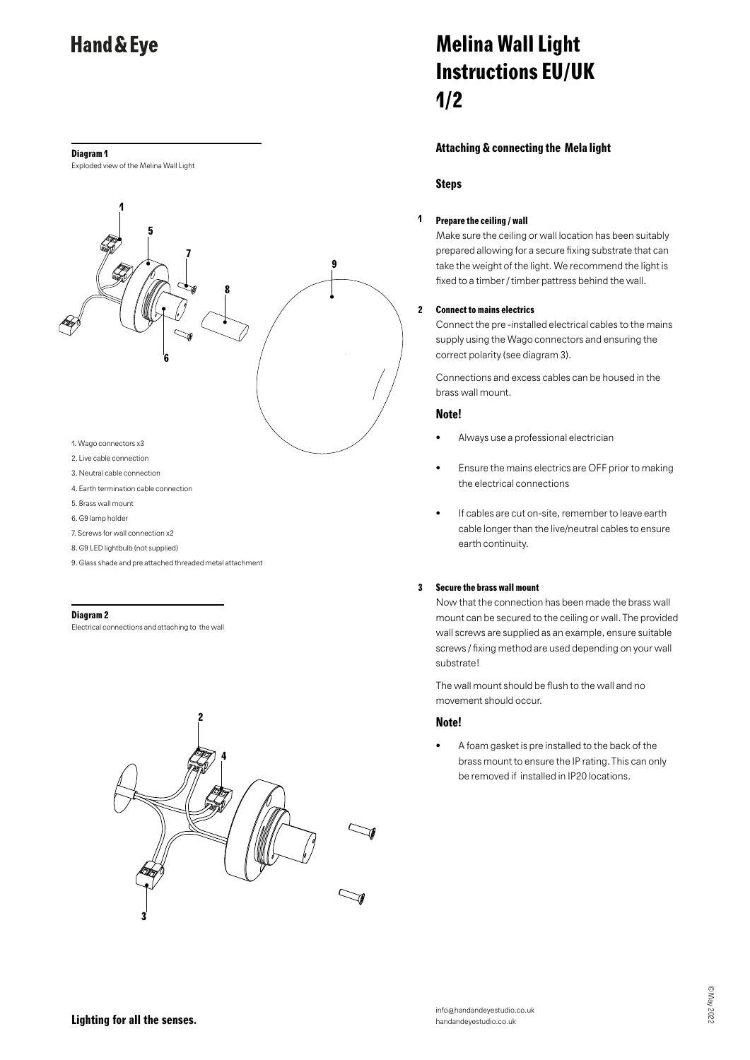#### **Diagram 1**

Exploded view of the Melina Wall Light



- 4. Earth termination cable connection
- 5. Brass wall mount
- 6. G9 lamp holder
- 7. Screws for wall connection x2
- 8. G9 LED lightbulb (not supplied)
- 
- 9. Glass shade and pre attached threaded metal attachment

#### **Diagram 2**

Electrical connections and attaching to the wall



# **Melina Wall Light Instructions EU/UK 1/2**

#### **Attaching & connecting the Mela light**

#### **Steps**

#### **1 Prepare the ceiling / wall**

Make sure the ceiling or wall location has been suitably prepared allowing for a secure fixing substrate that can take the weight of the light. We recommend the light is fixed to a timber / timber pattress behind the wall.

#### **2 Connect to mains electrics**

Connect the pre -installed electrical cables to the mains supply using the Wago connectors and ensuring the correct polarity (see diagram 3).

Connections and excess cables can be housed in the brass wall mount.

#### **Note!**

- Always use a professional electrician
- Ensure the mains electrics are OFF prior to making the electrical connections
- If cables are cut on-site, remember to leave earth cable longer than the live/neutral cables to ensure earth continuity.

#### **3 Secure the brass wall mount**

Now that the connection has been made the brass wall mount can be secured to the ceiling or wall. The provided wall screws are supplied as an example, ensure suitable screws / fixing method are used depending on your wall substrate!

The wall mount should be flush to the wall and no movement should occur.

#### **Note!**

• A foam gasket is pre installed to the back of the brass mount to ensure the IP rating. This can only be removed if installed in IP20 locations.